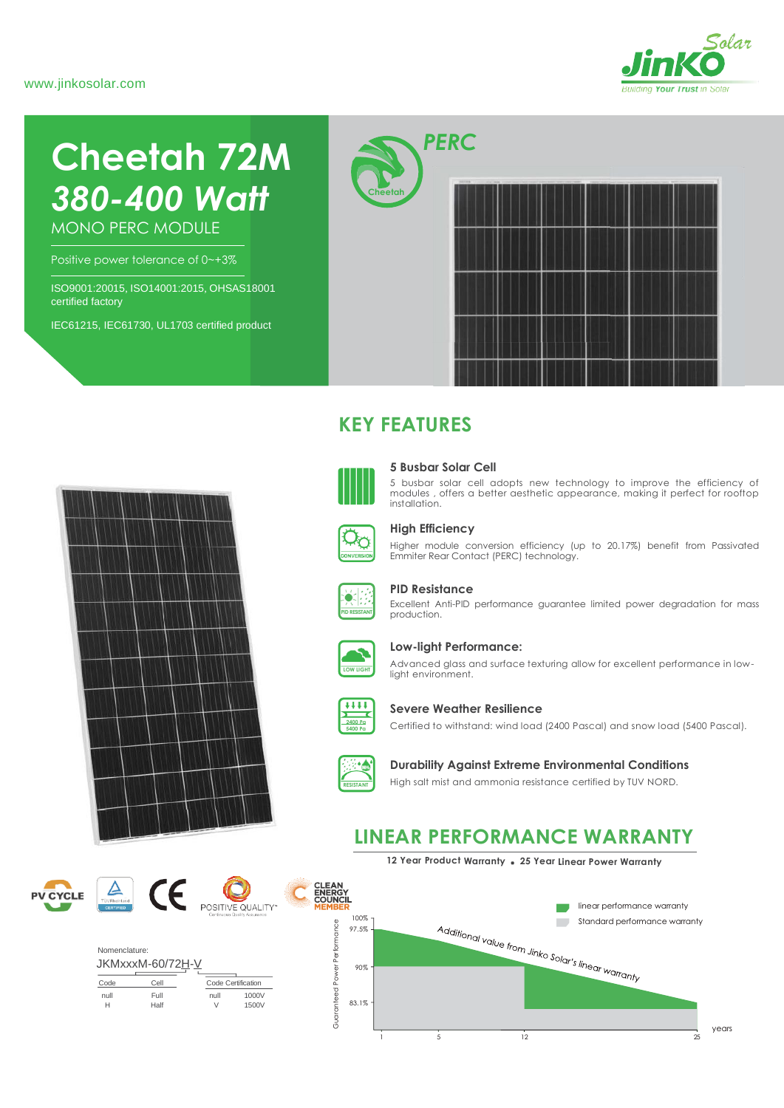

# **Cheetah 72M** *380-400 Watt*

MONO PERC MODULE

Positive power tolerance of 0~+3%

ISO9001:20015, ISO14001:2015, OHSAS18001 certified factory

IEC61215, IEC61730, UL1703 certified product



## **KEY FEATURES**



#### **5 Busbar Solar Cell**

5 busbar solar cell adopts new technology to improve the efficiency of modules , offers a better aesthetic appearance, making it perfect for rooftop installation.



#### **High Efficiency**

Higher module conversion efficiency (up to 20.17%) benefit from Passivated Emmiter Rear Contact (PERC) technology.



#### **PID Resistance**

Excellent Anti-PID performance guarantee limited power degradation for mass production.



#### **Low-light Performance:**

Advanced glass and surface texturing allow for excellent performance in lowlight environment.



#### **Severe Weather Resilience**

Certified to withstand: wind load (2400 Pascal) and snow load (5400 Pascal).



#### **Durability Against Extreme Environmental Conditions**

High salt mist and ammonia resistance certified by TUV NORD.

## **LINEAR PERFORMANCE WARRANTY**









| Nomenclature: |                  |           |                    |  |  |
|---------------|------------------|-----------|--------------------|--|--|
|               | JKMxxxM-60/72H-V |           |                    |  |  |
| Code          | Cell             |           | Code Certification |  |  |
| null<br>н     | Full<br>Half     | null<br>V | 1000V<br>1500V     |  |  |